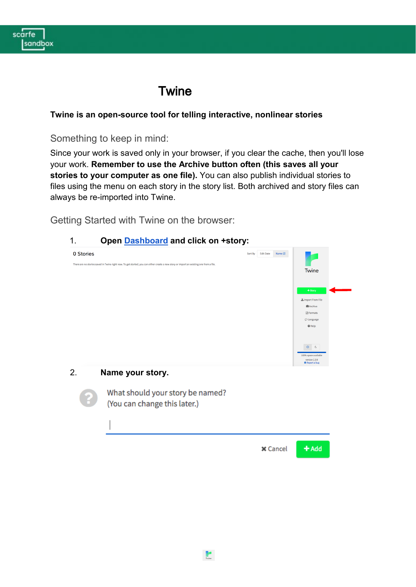

# **Twine**

### **Twine is an open-source tool for telling interactive, nonlinear stories**

# Something to keep in mind:

Since your work is saved only in your browser, if you clear the cache, then you'll lose your work. **Remember to use the Archive button often (this saves all your stories to your computer as one file).** You can also publish individual stories to files using the menu on each story in the story list. Both archived and story files can always be re-imported into Twine.

Getting Started with Twine on the browser:

## 1. **Open [Dashboard](https://twinery.org/2/#!/stories) and click on +story:**

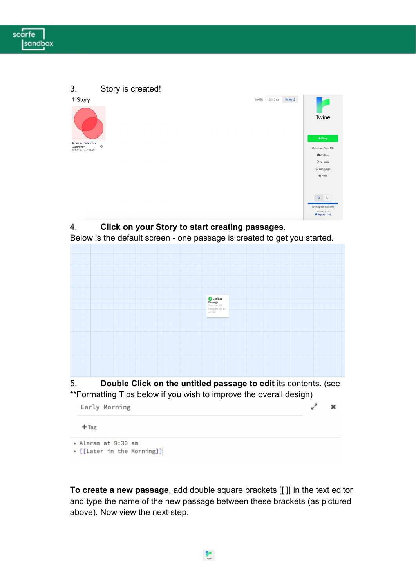



Below is the default screen - one passage is created to get you started.



**To create a new passage**, add double square brackets [[ ]] in the text editor and type the name of the new passage between these brackets (as pictured above). Now view the next step.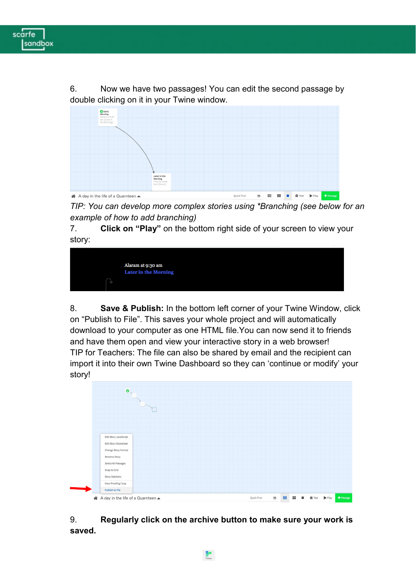

6. Now we have two passages! You can edit the second passage by double clicking on it in your Twine window.



*TIP: You can develop more complex stories using \*Branching (see below for an example of how to add branching)*

7. **Click on "Play"** on the bottom right side of your screen to view your story:



8. **Save & Publish:** In the bottom left corner of your Twine Window, click on "Publish to File". This saves your whole project and will automatically download to your computer as one HTML file.You can now send it to friends and have them open and view your interactive story in a web browser! TIP for Teachers: The file can also be shared by email and the recipient can import it into their own Twine Dashboard so they can 'continue or modify' your story!



9. **Regularly click on the archive button to make sure your work is saved.**